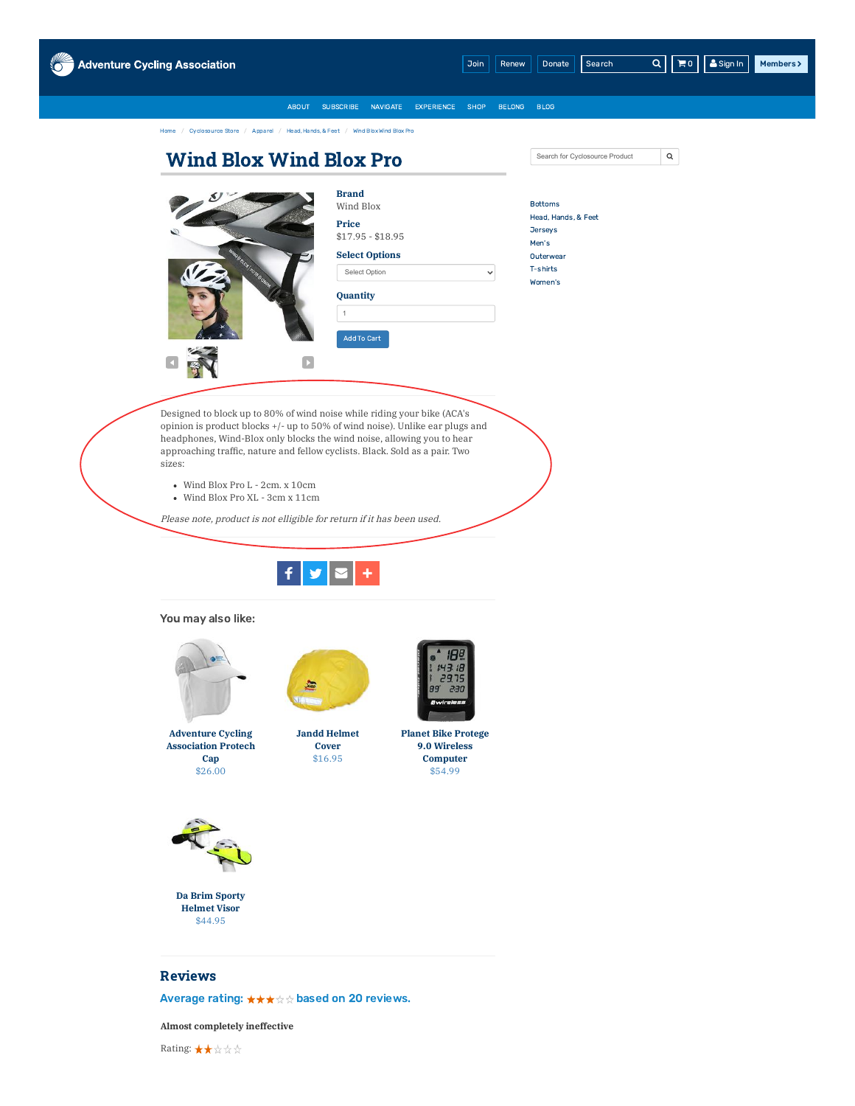

# Reviews

Average rating: \*\*\*\* based on 20 reviews.

**Almost completely ineffective**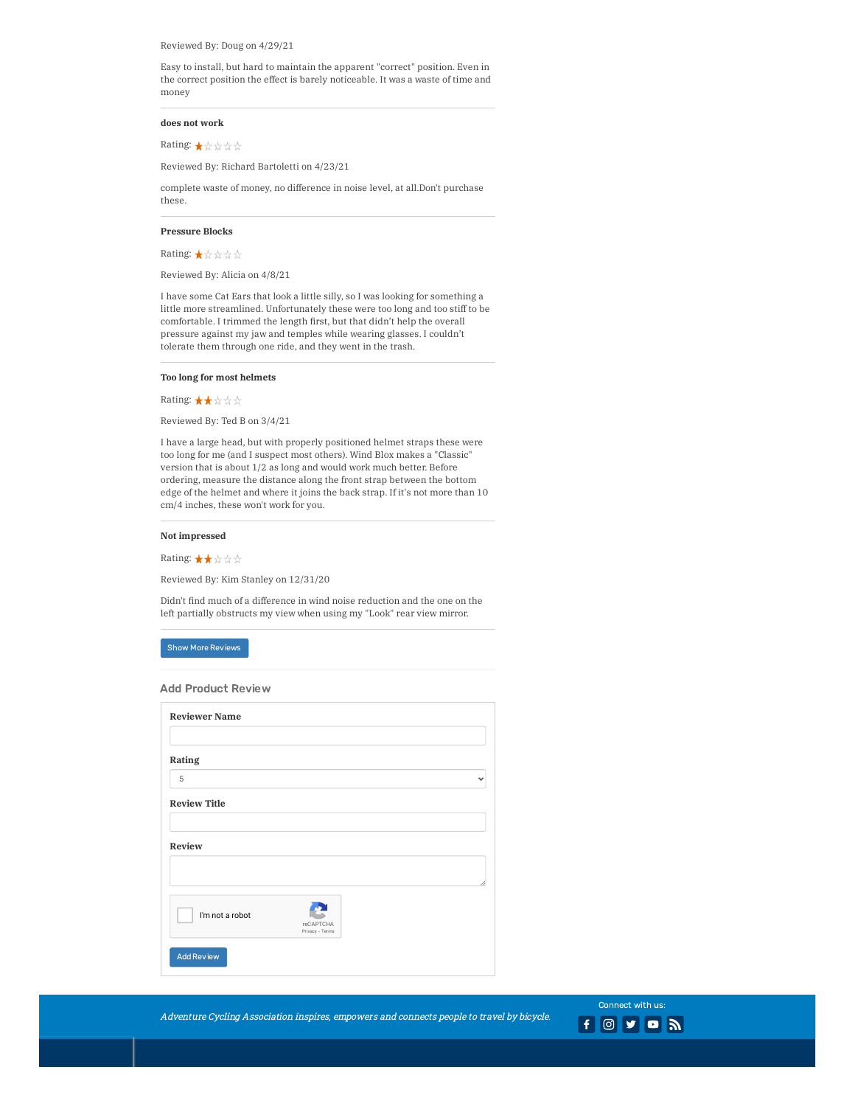Reviewed By: Doug on 4/29/21

Easy to install, but hard to maintain the apparent "correct" position. Even in the correct position the effect is barely noticeable. It was a waste of time and money

#### **does not work**

Rating: ★☆☆☆☆

Reviewed By: Richard Bartoletti on 4/23/21

complete waste of money, no difference in noise level, at all.Don't purchase these.

## **Pressure Blocks**

**Rating: ★☆☆☆☆** 

Reviewed By: Alicia on 4/8/21

I have some Cat Ears that look a little silly, so I was looking for something a little more streamlined. Unfortunately these were too long and too stiff to be comfortable. I trimmed the length first, but that didn't help the overall pressure against my jaw and temples while wearing glasses. I couldn't tolerate them through one ride, and they went in the trash.

#### **Too long for most helmets**

Rating: ★★☆☆☆

Reviewed By: Ted B on 3/4/21

I have a large head, but with properly positioned helmet straps these were too long for me (and I suspect most others). Wind Blox makes a "Classic" version that is about 1/2 as long and would work much better. Before ordering, measure the distance along the front strap between the bottom edge of the helmet and where it joins the back strap. If it's not more than 10 cm/4 inches, these won't work for you.

## **Not impressed**

Rating: ★★☆☆☆

Reviewed By: Kim Stanley on 12/31/20

Didn't find much of a difference in wind noise reduction and the one on the left partially obstructs my view when using my "Look" rear view mirror.

## Show More Reviews

Add Product Review

| <b>Reviewer Name</b> |                              |   |
|----------------------|------------------------------|---|
|                      |                              |   |
| Rating               |                              |   |
| 5                    |                              |   |
| <b>Review Title</b>  |                              |   |
| Review               |                              |   |
|                      |                              | ı |
| I'm not a robot      | reCAPTCHA<br>Privacy - Terms |   |
| <b>Add Review</b>    |                              |   |